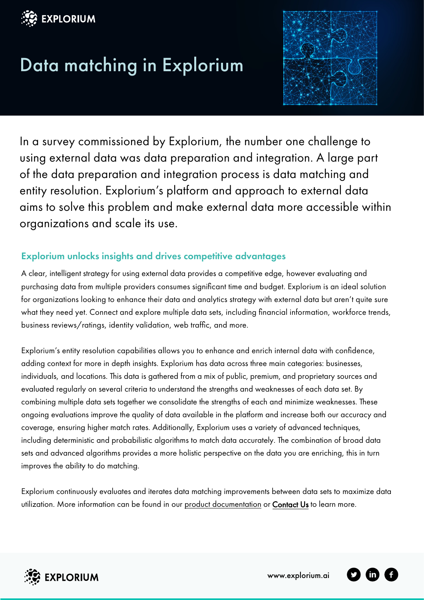

# Data matching in Explorium



In a survey commissioned by Explorium, the number one challenge to using external data was data preparation and integration. A large part of the data preparation and integration process is data matching and entity resolution. Explorium's platform and approach to external data aims to solve this problem and make external data more accessible within organizations and scale its use.

## Explorium unlocks insights and drives competitive advantages

A clear, intelligent strategy for using external data provides a competitive edge, however evaluating and purchasing data from multiple providers consumes significant time and budget. Explorium is an ideal solution for organizations looking to enhance their data and analytics strategy with external data but aren't quite sure what they need yet. Connect and explore multiple data sets, including financial information, workforce trends, business reviews/ratings, identity validation, web traffic, and more.

Explorium's entity resolution capabilities allows you to enhance and enrich internal data with confidence, adding context for more in depth insights. Explorium has data across three main categories: businesses, individuals, and locations. This data is gathered from a mix of public, premium, and proprietary sources and evaluated regularly on several criteria to understand the strengths and weaknesses of each data set. By combining multiple data sets together we consolidate the strengths of each and minimize weaknesses. These ongoing evaluations improve the quality of data available in the platform and increase both our accuracy and coverage, ensuring higher match rates. Additionally, Explorium uses a variety of advanced techniques, including deterministic and probabilistic algorithms to match data accurately. The combination of broad data sets and advanced algorithms provides a more holistic perspective on the data you are enriching, this in turn improves the ability to do matching.

Explorium continuously evaluates and iterates data matching improvements between data sets to maximize data utilization. More information can be found in ou[r product documentation](https://docs.explorium.ai/) or [Contact Us](https://www.explorium.ai/contact/) to learn more.



www.explorium.ai